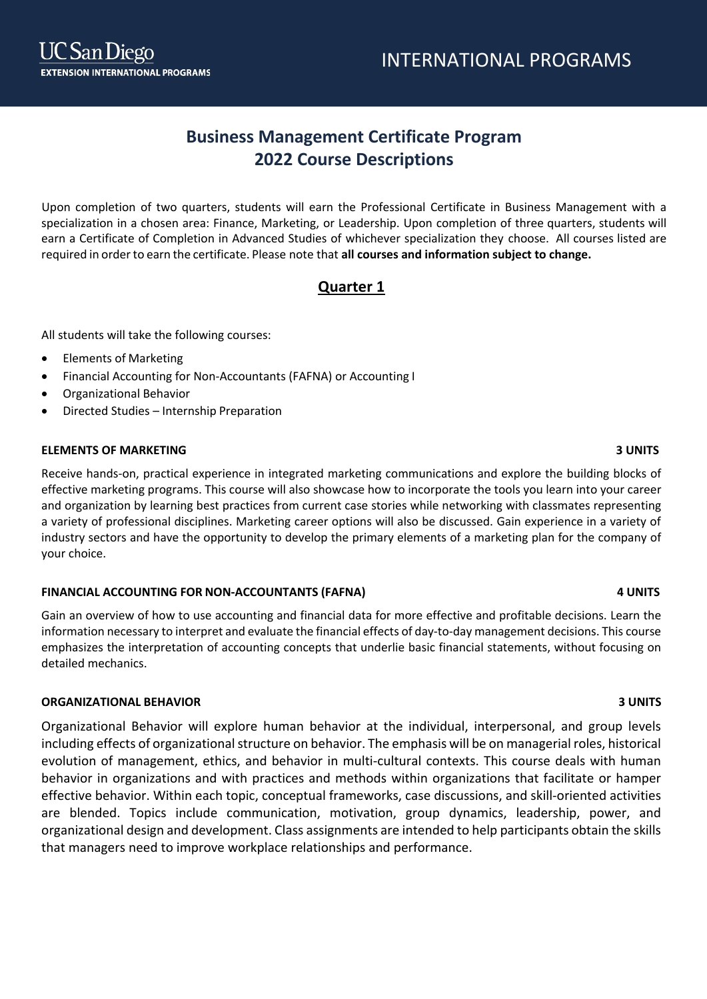# **Business Management Certificate Program 2022 Course Descriptions**

Upon completion of two quarters, students will earn the Professional Certificate in Business Management with a specialization in a chosen area: Finance, Marketing, or Leadership. Upon completion of three quarters, students will earn a Certificate of Completion in Advanced Studies of whichever specialization they choose. All courses listed are required in orderto earn the certificate. Please note that **all courses and information subject to change.**

# **Quarter 1**

All students will take the following courses:

- Elements of Marketing
- Financial Accounting for Non-Accountants (FAFNA) or Accounting I
- Organizational Behavior
- Directed Studies Internship Preparation

# **ELEMENTS OF MARKETING 3 UNITS**

Receive hands-on, practical experience in integrated marketing communications and explore the building blocks of effective marketing programs. This course will also showcase how to incorporate the tools you learn into your career and organization by learning best practices from current case stories while networking with classmates representing a variety of professional disciplines. Marketing career options will also be discussed. Gain experience in a variety of industry sectors and have the opportunity to develop the primary elements of a marketing plan for the company of your choice.

# **FINANCIAL ACCOUNTING FOR NON-ACCOUNTANTS (FAFNA) 4 UNITS**

Gain an overview of how to use accounting and financial data for more effective and profitable decisions. Learn the information necessary to interpret and evaluate the financial effects of day-to-day management decisions. This course emphasizes the interpretation of accounting concepts that underlie basic financial statements, without focusing on detailed mechanics.

# **ORGANIZATIONAL BEHAVIOR 3 UNITS**

Organizational Behavior will explore human behavior at the individual, interpersonal, and group levels including effects of organizational structure on behavior. The emphasis will be on managerial roles, historical evolution of management, ethics, and behavior in multi-cultural contexts. This course deals with human behavior in organizations and with practices and methods within organizations that facilitate or hamper effective behavior. Within each topic, conceptual frameworks, case discussions, and skill-oriented activities are blended. Topics include communication, motivation, group dynamics, leadership, power, and organizational design and development. Class assignments are intended to help participants obtain the skills that managers need to improve workplace relationships and performance.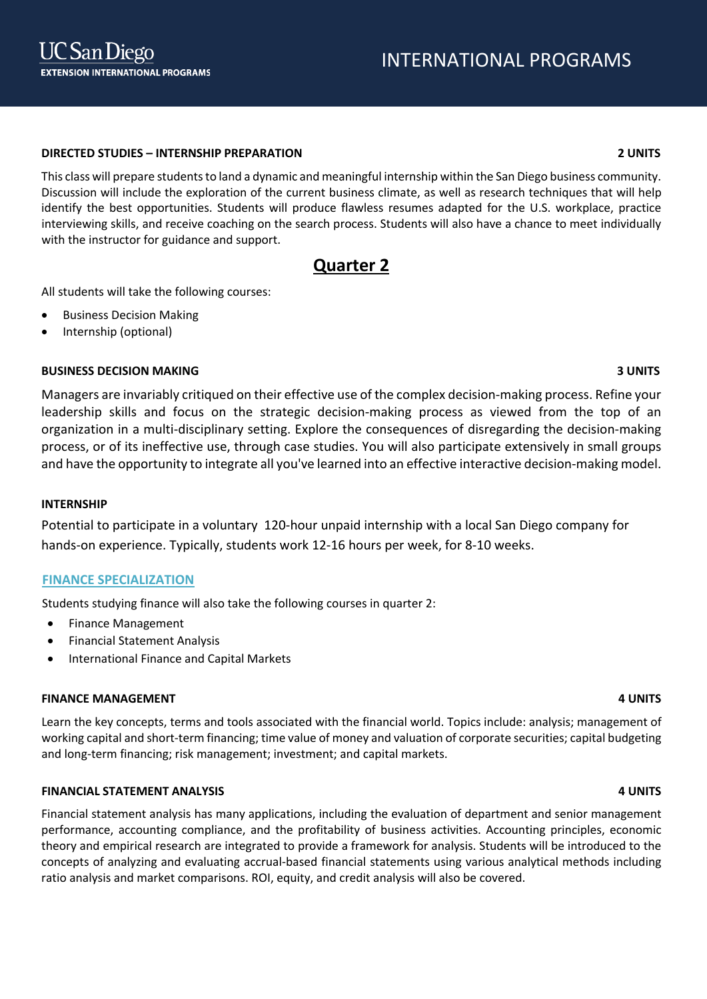## **DIRECTED STUDIES – INTERNSHIP PREPARATION 2 UNITS**

This class will prepare students to land a dynamic and meaningful internship within the San Diego business community. Discussion will include the exploration of the current business climate, as well as research techniques that will help identify the best opportunities. Students will produce flawless resumes adapted for the U.S. workplace, practice interviewing skills, and receive coaching on the search process. Students will also have a chance to meet individually with the instructor for guidance and support.

# **Quarter 2**

All students will take the following courses:

- Business Decision Making
- Internship (optional)

# **BUSINESS DECISION MAKING 3 UNITS**

Managers are invariably critiqued on their effective use of the complex decision-making process. Refine your leadership skills and focus on the strategic decision-making process as viewed from the top of an organization in a multi-disciplinary setting. Explore the consequences of disregarding the decision-making process, or of its ineffective use, through case studies. You will also participate extensively in small groups and have the opportunity to integrate all you've learned into an effective interactive decision-making model.

### **INTERNSHIP**

Potential to participate in a voluntary 120-hour unpaid internship with a local San Diego company for hands-on experience. Typically, students work 12-16 hours per week, for 8-10 weeks.

### **FINANCE SPECIALIZATION**

Students studying finance will also take the following courses in quarter 2:

- Finance Management
- Financial Statement Analysis
- International Finance and Capital Markets

### **FINANCE MANAGEMENT 4 UNITS**

Learn the key concepts, terms and tools associated with the financial world. Topics include: analysis; management of working capital and short-term financing; time value of money and valuation of corporate securities; capital budgeting and long-term financing; risk management; investment; and capital markets.

### **FINANCIAL STATEMENT ANALYSIS 4 UNITS**

Financial statement analysis has many applications, including the evaluation of department and senior management performance, accounting compliance, and the profitability of business activities. Accounting principles, economic theory and empirical research are integrated to provide a framework for analysis. Students will be introduced to the concepts of analyzing and evaluating accrual-based financial statements using various analytical methods including ratio analysis and market comparisons. ROI, equity, and credit analysis will also be covered.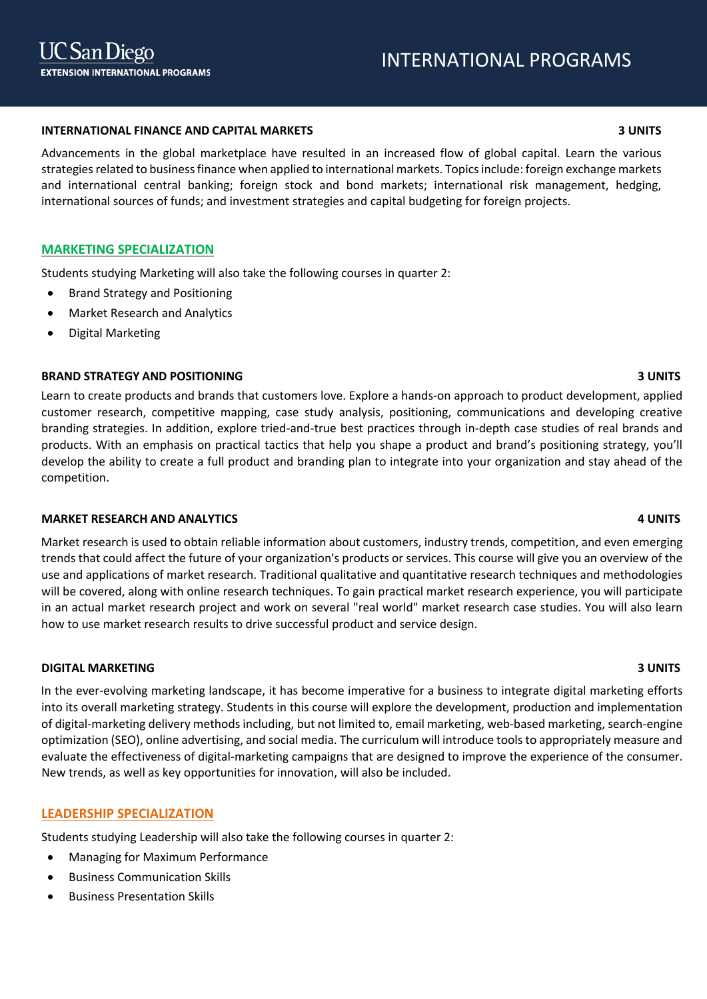### **INTERNATIONAL FINANCE AND CAPITAL MARKETS 3 UNITS**

Advancements in the global marketplace have resulted in an increased flow of global capital. Learn the various strategies related to business finance when applied to international markets. Topics include: foreign exchange markets and international central banking; foreign stock and bond markets; international risk management, hedging, international sources of funds; and investment strategies and capital budgeting for foreign projects.

### **MARKETING SPECIALIZATION**

Students studying Marketing will also take the following courses in quarter 2:

- Brand Strategy and Positioning
- Market Research and Analytics
- Digital Marketing

### **BRAND STRATEGY AND POSITIONING 3 UNITS**

Learn to create products and brands that customers love. Explore a hands-on approach to product development, applied customer research, competitive mapping, case study analysis, positioning, communications and developing creative branding strategies. In addition, explore tried-and-true best practices through in-depth case studies of real brands and products. With an emphasis on practical tactics that help you shape a product and brand's positioning strategy, you'll develop the ability to create a full product and branding plan to integrate into your organization and stay ahead of the competition.

### **MARKET RESEARCH AND ANALYTICS 4 UNITS**

Market research is used to obtain reliable information about customers, industry trends, competition, and even emerging trends that could affect the future of your organization's products or services. This course will give you an overview of the use and applications of market research. Traditional qualitative and quantitative research techniques and methodologies will be covered, along with online research techniques. To gain practical market research experience, you will participate in an actual market research project and work on several "real world" market research case studies. You will also learn how to use market research results to drive successful product and service design.

### **DIGITAL MARKETING 3 UNITS**

In the ever-evolving marketing landscape, it has become imperative for a business to integrate digital marketing efforts into its overall marketing strategy. Students in this course will explore the development, production and implementation of digital-marketing delivery methods including, but not limited to, email marketing, web-based marketing, search-engine optimization (SEO), online advertising, and social media. The curriculum will introduce tools to appropriately measure and evaluate the effectiveness of digital-marketing campaigns that are designed to improve the experience of the consumer. New trends, as well as key opportunities for innovation, will also be included.

### **LEADERSHIP SPECIALIZATION**

Students studying Leadership will also take the following courses in quarter 2:

- Managing for Maximum Performance
- Business Communication Skills
- Business Presentation Skills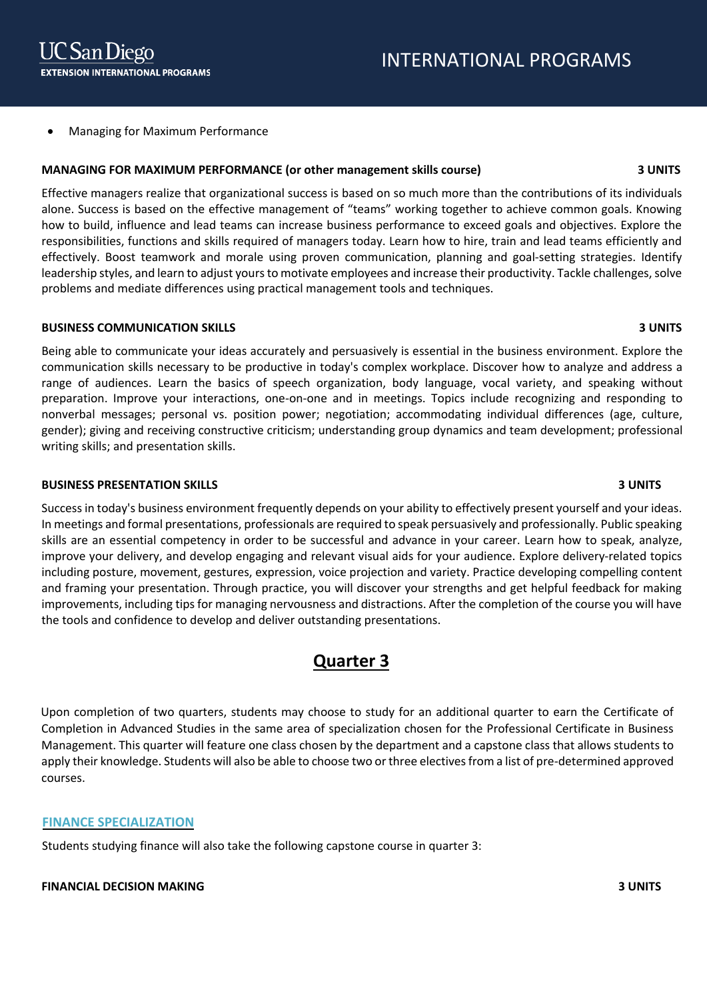• Managing for Maximum Performance

## **MANAGING FOR MAXIMUM PERFORMANCE (or other management skills course) 3 UNITS**

Effective managers realize that organizational success is based on so much more than the contributions of its individuals alone. Success is based on the effective management of "teams" working together to achieve common goals. Knowing how to build, influence and lead teams can increase business performance to exceed goals and objectives. Explore the responsibilities, functions and skills required of managers today. Learn how to hire, train and lead teams efficiently and effectively. Boost teamwork and morale using proven communication, planning and goal-setting strategies. Identify leadership styles, and learn to adjust yours to motivate employees and increase their productivity. Tackle challenges, solve problems and mediate differences using practical management tools and techniques.

### **BUSINESS COMMUNICATION SKILLS 3 UNITS**

Being able to communicate your ideas accurately and persuasively is essential in the business environment. Explore the communication skills necessary to be productive in today's complex workplace. Discover how to analyze and address a range of audiences. Learn the basics of speech organization, body language, vocal variety, and speaking without preparation. Improve your interactions, one-on-one and in meetings. Topics include recognizing and responding to nonverbal messages; personal vs. position power; negotiation; accommodating individual differences (age, culture, gender); giving and receiving constructive criticism; understanding group dynamics and team development; professional writing skills; and presentation skills.

### **BUSINESS PRESENTATION SKILLS 3 UNITS**

Success in today's business environment frequently depends on your ability to effectively present yourself and your ideas. In meetings and formal presentations, professionals are required to speak persuasively and professionally. Public speaking skills are an essential competency in order to be successful and advance in your career. Learn how to speak, analyze, improve your delivery, and develop engaging and relevant visual aids for your audience. Explore delivery-related topics including posture, movement, gestures, expression, voice projection and variety. Practice developing compelling content and framing your presentation. Through practice, you will discover your strengths and get helpful feedback for making improvements, including tips for managing nervousness and distractions. After the completion of the course you will have the tools and confidence to develop and deliver outstanding presentations.

# **Quarter 3**

Upon completion of two quarters, students may choose to study for an additional quarter to earn the Certificate of Completion in Advanced Studies in the same area of specialization chosen for the Professional Certificate in Business Management. This quarter will feature one class chosen by the department and a capstone class that allows students to apply their knowledge. Students will also be able to choose two or three electives from a list of pre-determined approved courses.

# **FINANCE SPECIALIZATION**

Students studying finance will also take the following capstone course in quarter 3:

# **FINANCIAL DECISION MAKING 3 UNITS**